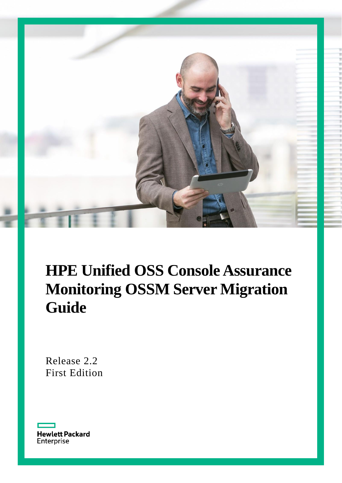

# **HPE Unified OSS Console Assurance Monitoring OSSM Server Migration Guide**

Release 2.2 First Edition

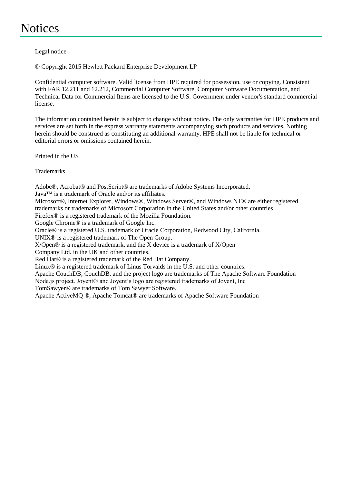# <span id="page-1-0"></span>**Notices**

Legal notice

© Copyright 2015 Hewlett Packard Enterprise Development LP

Confidential computer software. Valid license from HPE required for possession, use or copying. Consistent with FAR 12.211 and 12.212, Commercial Computer Software, Computer Software Documentation, and Technical Data for Commercial Items are licensed to the U.S. Government under vendor's standard commercial license.

The information contained herein is subject to change without notice. The only warranties for HPE products and services are set forth in the express warranty statements accompanying such products and services. Nothing herein should be construed as constituting an additional warranty. HPE shall not be liable for technical or editorial errors or omissions contained herein.

Printed in the US

**Trademarks** 

Adobe®, Acrobat® and PostScript® are trademarks of Adobe Systems Incorporated.

Java™ is a trademark of Oracle and/or its affiliates.

Microsoft®, Internet Explorer, Windows®, Windows Server®, and Windows NT® are either registered trademarks or trademarks of Microsoft Corporation in the United States and/or other countries.

Firefox® is a registered trademark of the Mozilla Foundation.

Google Chrome® is a trademark of Google Inc.

Oracle® is a registered U.S. trademark of Oracle Corporation, Redwood City, California.

UNIX® is a registered trademark of The Open Group.

X/Open® is a registered trademark, and the X device is a trademark of X/Open

Company Ltd. in the UK and other countries.

Red Hat<sup>®</sup> is a registered trademark of the Red Hat Company.

Linux® is a registered trademark of Linus Torvalds in the U.S. and other countries.

Apache CouchDB, CouchDB, and the project logo are trademarks of The Apache Software Foundation

Node.js project. Joyent<sup>®</sup> and Joyent's logo are registered trademarks of Joyent, Inc

TomSawyer® are trademarks of Tom Sawyer Software.

Apache ActiveMQ ®, Apache Tomcat® are trademarks of Apache Software Foundation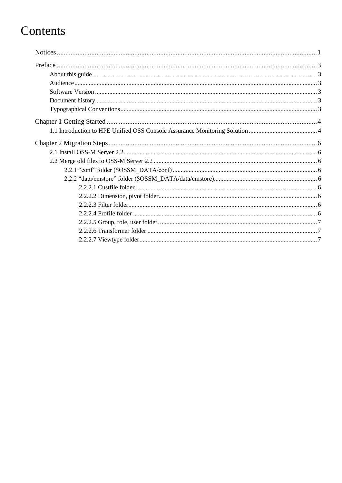# Contents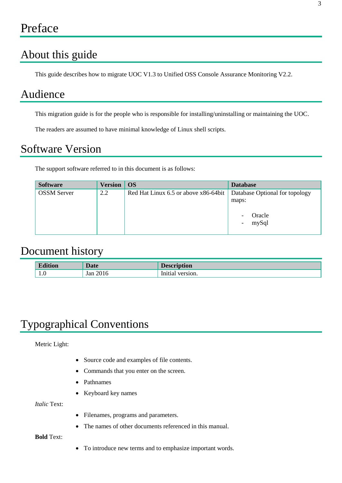## <span id="page-3-1"></span><span id="page-3-0"></span>About this guide

This guide describes how to migrate UOC V1.3 to Unified OSS Console Assurance Monitoring V2.2.

### <span id="page-3-2"></span>Audience

This migration guide is for the people who is responsible for installing/uninstalling or maintaining the UOC.

The readers are assumed to have minimal knowledge of Linux shell scripts.

# <span id="page-3-3"></span>Software Version

The support software referred to in this document is as follows:

| <b>Software</b>    | <b>Version</b> | <b>OS</b>                            | <b>Database</b>                                                                             |
|--------------------|----------------|--------------------------------------|---------------------------------------------------------------------------------------------|
| <b>OSSM Server</b> | 2.2            | Red Hat Linux 6.5 or above x86-64bit | Database Optional for topology<br>maps:<br>Oracle<br>-<br>mySql<br>$\overline{\phantom{a}}$ |
|                    |                |                                      |                                                                                             |

### <span id="page-3-4"></span>Document history

| .   | Dota        | $\sim$<br>IVII<br>$-0$ |
|-----|-------------|------------------------|
| 1.0 | Tar<br>$ -$ | In1<br>эюn.            |

# <span id="page-3-5"></span>Typographical Conventions

Metric Light:

- Source code and examples of file contents.
- Commands that you enter on the screen.
- Pathnames
- Keyboard key names

*Italic* Text:

- Filenames, programs and parameters.
- The names of other documents referenced in this manual.

**Bold** Text:

To introduce new terms and to emphasize important words.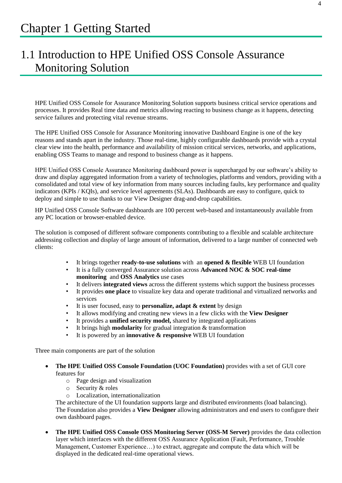### <span id="page-4-1"></span><span id="page-4-0"></span>1.1 Introduction to HPE Unified OSS Console Assurance Monitoring Solution

HPE Unified OSS Console for Assurance Monitoring Solution supports business critical service operations and processes. It provides Real time data and metrics allowing reacting to business change as it happens, detecting service failures and protecting vital revenue streams.

The HPE Unified OSS Console for Assurance Monitoring innovative Dashboard Engine is one of the key reasons and stands apart in the industry. Those real-time, highly configurable dashboards provide with a crystal clear view into the health, performance and availability of mission critical services, networks, and applications, enabling OSS Teams to manage and respond to business change as it happens.

HPE Unified OSS Console Assurance Monitoring dashboard power is supercharged by our software's ability to draw and display aggregated information from a variety of technologies, platforms and vendors, providing with a consolidated and total view of key information from many sources including faults, key performance and quality indicators (KPIs / KQIs), and service level agreements (SLAs). Dashboards are easy to configure, quick to deploy and simple to use thanks to our View Designer drag-and-drop capabilities.

HP Unified OSS Console Software dashboards are 100 percent web-based and instantaneously available from any PC location or browser-enabled device.

The solution is composed of different software components contributing to a flexible and scalable architecture addressing collection and display of large amount of information, delivered to a large number of connected web clients:

- It brings together **ready-to-use solutions** with an **opened & flexible** WEB UI foundation
- It is a fully converged Assurance solution across **Advanced NOC & SOC real-time monitoring** and **OSS Analytics** use cases
- It delivers **integrated views** across the different systems which support the business processes
- It provides **one place** to visualize key data and operate traditional and virtualized networks and services
- It is user focused, easy to **personalize, adapt & extent** by design
- It allows modifying and creating new views in a few clicks with the **View Designer**
- It provides a **unified security model,** shared by integrated applications
- It brings high **modularity** for gradual integration & transformation
- It is powered by an **innovative & responsive** WEB UI foundation

Three main components are part of the solution

- **The HPE Unified OSS Console Foundation (UOC Foundation)** provides with a set of GUI core features for
	- o Page design and visualization
	- o Security & roles
	- o Localization, internationalization

The architecture of the UI foundation supports large and distributed environments (load balancing). The Foundation also provides a **View Designer** allowing administrators and end users to configure their own dashboard pages.

 **The HPE Unified OSS Console OSS Monitoring Server (OSS-M Server)** provides the data collection layer which interfaces with the different OSS Assurance Application (Fault, Performance, Trouble Management, Customer Experience…) to extract, aggregate and compute the data which will be displayed in the dedicated real-time operational views.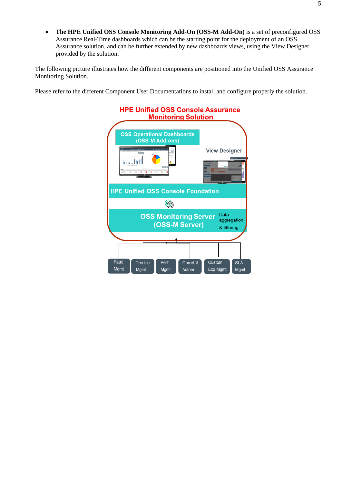**The HPE Unified OSS Console Monitoring Add-On (OSS-M Add-On)** is a set of preconfigured OSS Assurance Real-Time dashboards which can be the starting point for the deployment of an OSS Assurance solution, and can be further extended by new dashboards views, using the View Designer provided by the solution.

The following picture illustrates how the different components are positioned into the Unified OSS Assurance Monitoring Solution.

Please refer to the different Component User Documentations to install and configure properly the solution.

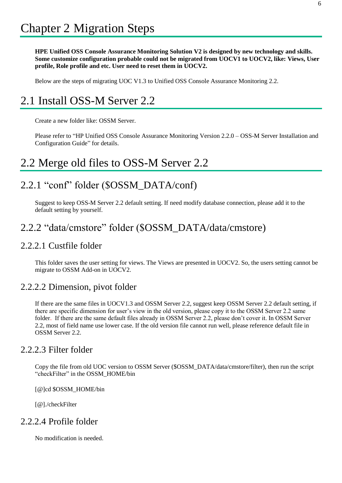<span id="page-6-0"></span>**HPE Unified OSS Console Assurance Monitoring Solution V2 is designed by new technology and skills. Some customize configuration probable could not be migrated from UOCV1 to UOCV2, like: Views, User profile, Role profile and etc. User need to reset them in UOCV2.** 

Below are the steps of migrating UOC V1.3 to Unified OSS Console Assurance Monitoring 2.2.

# <span id="page-6-1"></span>2.1 Install OSS-M Server 2.2

Create a new folder like: OSSM Server.

Please refer to "HP Unified OSS Console Assurance Monitoring Version 2.2.0 – OSS-M Server Installation and Configuration Guide" for details.

### <span id="page-6-2"></span>2.2 Merge old files to OSS-M Server 2.2

### <span id="page-6-3"></span>2.2.1 "conf" folder (\$OSSM\_DATA/conf)

Suggest to keep OSS-M Server 2.2 default setting. If need modify database connection, please add it to the default setting by yourself.

### <span id="page-6-4"></span>2.2.2 "data/cmstore" folder (\$OSSM\_DATA/data/cmstore)

#### <span id="page-6-5"></span>2.2.2.1 Custfile folder

This folder saves the user setting for views. The Views are presented in UOCV2. So, the users setting cannot be migrate to OSSM Add-on in UOCV2.

#### <span id="page-6-6"></span>2.2.2.2 Dimension, pivot folder

If there are the same files in UOCV1.3 and OSSM Server 2.2, suggest keep OSSM Server 2.2 default setting, if there are specific dimension for user's view in the old version, please copy it to the OSSM Server 2.2 same folder. If there are the same default files already in OSSM Server 2.2, please don't cover it. In OSSM Server 2.2, most of field name use lower case. If the old version file cannot run well, please reference default file in OSSM Server 2.2.

#### <span id="page-6-7"></span>2.2.2.3 Filter folder

Copy the file from old UOC version to OSSM Server (\$OSSM\_DATA/data/cmstore/filter), then run the script "checkFilter" in the OSSM\_HOME/bin

[@]cd \$OSSM\_HOME/bin

[@]./checkFilter

#### <span id="page-6-8"></span>2.2.2.4 Profile folder

No modification is needed.